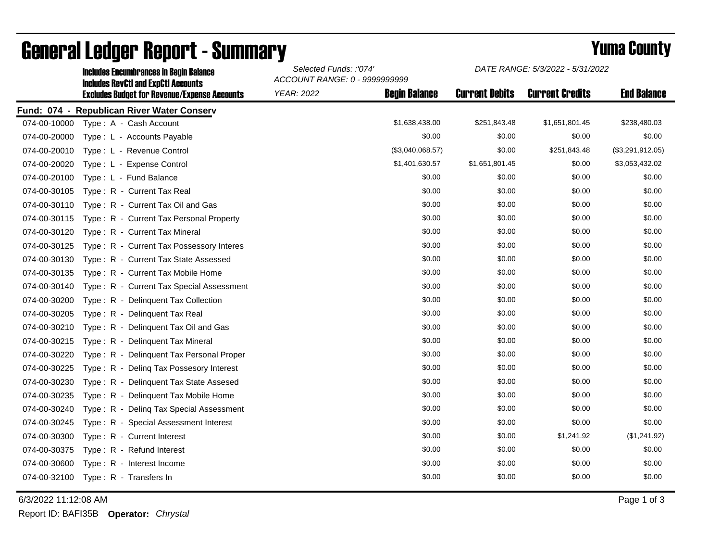|              | <b>Includes Encumbrances in Begin Balance</b><br><b>Includes RevCtI and ExpCtI Accounts</b><br><b>Excludes Budget for Revenue/Expense Accounts</b> | Selected Funds: :'074'<br>ACCOUNT RANGE: 0 - 9999999999 |                      | DATE RANGE: 5/3/2022 - 5/31/2022 |                        |                    |
|--------------|----------------------------------------------------------------------------------------------------------------------------------------------------|---------------------------------------------------------|----------------------|----------------------------------|------------------------|--------------------|
|              |                                                                                                                                                    | <b>YEAR: 2022</b>                                       | <b>Begin Balance</b> | <b>Current Debits</b>            | <b>Current Credits</b> | <b>End Balance</b> |
|              | Fund: 074 - Republican River Water Conserv                                                                                                         |                                                         |                      |                                  |                        |                    |
| 074-00-10000 | Type: A - Cash Account                                                                                                                             |                                                         | \$1,638,438.00       | \$251,843.48                     | \$1,651,801.45         | \$238,480.03       |
| 074-00-20000 | Type: L - Accounts Payable                                                                                                                         |                                                         | \$0.00               | \$0.00                           | \$0.00                 | \$0.00             |
| 074-00-20010 | Type: L - Revenue Control                                                                                                                          |                                                         | (\$3,040,068.57)     | \$0.00                           | \$251,843.48           | (\$3,291,912.05)   |
| 074-00-20020 | Type: L - Expense Control                                                                                                                          |                                                         | \$1,401,630.57       | \$1,651,801.45                   | \$0.00                 | \$3,053,432.02     |
| 074-00-20100 | Type: L - Fund Balance                                                                                                                             |                                                         | \$0.00               | \$0.00                           | \$0.00                 | \$0.00             |
| 074-00-30105 | Type: R - Current Tax Real                                                                                                                         |                                                         | \$0.00               | \$0.00                           | \$0.00                 | \$0.00             |
| 074-00-30110 | Type: R - Current Tax Oil and Gas                                                                                                                  |                                                         | \$0.00               | \$0.00                           | \$0.00                 | \$0.00             |
| 074-00-30115 | Type: R - Current Tax Personal Property                                                                                                            |                                                         | \$0.00               | \$0.00                           | \$0.00                 | \$0.00             |
| 074-00-30120 | Type: R - Current Tax Mineral                                                                                                                      |                                                         | \$0.00               | \$0.00                           | \$0.00                 | \$0.00             |
| 074-00-30125 | Type: R - Current Tax Possessory Interes                                                                                                           |                                                         | \$0.00               | \$0.00                           | \$0.00                 | \$0.00             |
| 074-00-30130 | Type: R - Current Tax State Assessed                                                                                                               |                                                         | \$0.00               | \$0.00                           | \$0.00                 | \$0.00             |
| 074-00-30135 | Type: R - Current Tax Mobile Home                                                                                                                  |                                                         | \$0.00               | \$0.00                           | \$0.00                 | \$0.00             |
| 074-00-30140 | Type: R - Current Tax Special Assessment                                                                                                           |                                                         | \$0.00               | \$0.00                           | \$0.00                 | \$0.00             |
| 074-00-30200 | Type: R - Delinquent Tax Collection                                                                                                                |                                                         | \$0.00               | \$0.00                           | \$0.00                 | \$0.00             |
| 074-00-30205 | Type: R - Delinquent Tax Real                                                                                                                      |                                                         | \$0.00               | \$0.00                           | \$0.00                 | \$0.00             |
| 074-00-30210 | Type: R - Delinquent Tax Oil and Gas                                                                                                               |                                                         | \$0.00               | \$0.00                           | \$0.00                 | \$0.00             |
| 074-00-30215 | Type: R - Delinquent Tax Mineral                                                                                                                   |                                                         | \$0.00               | \$0.00                           | \$0.00                 | \$0.00             |
| 074-00-30220 | Type: R - Delinquent Tax Personal Proper                                                                                                           |                                                         | \$0.00               | \$0.00                           | \$0.00                 | \$0.00             |
| 074-00-30225 | Type: R - Deling Tax Possesory Interest                                                                                                            |                                                         | \$0.00               | \$0.00                           | \$0.00                 | \$0.00             |
| 074-00-30230 | Type: R - Delinquent Tax State Assesed                                                                                                             |                                                         | \$0.00               | \$0.00                           | \$0.00                 | \$0.00             |
| 074-00-30235 | Type: R - Delinquent Tax Mobile Home                                                                                                               |                                                         | \$0.00               | \$0.00                           | \$0.00                 | \$0.00             |
| 074-00-30240 | Type: R - Deling Tax Special Assessment                                                                                                            |                                                         | \$0.00               | \$0.00                           | \$0.00                 | \$0.00             |
| 074-00-30245 | Type: R - Special Assessment Interest                                                                                                              |                                                         | \$0.00               | \$0.00                           | \$0.00                 | \$0.00             |
| 074-00-30300 | Type: R - Current Interest                                                                                                                         |                                                         | \$0.00               | \$0.00                           | \$1,241.92             | (\$1,241.92)       |
| 074-00-30375 | Type: R - Refund Interest                                                                                                                          |                                                         | \$0.00               | \$0.00                           | \$0.00                 | \$0.00             |
| 074-00-30600 | Type: R - Interest Income                                                                                                                          |                                                         | \$0.00               | \$0.00                           | \$0.00                 | \$0.00             |
| 074-00-32100 | Type: R - Transfers In                                                                                                                             |                                                         | \$0.00               | \$0.00                           | \$0.00                 | \$0.00             |

## General Ledger Report - Summary **Example 2018** Yuma County

6/3/2022 11:12:08 AM Page 1 of 3

Report ID: BAFI35B **Operator:** *Chrystal*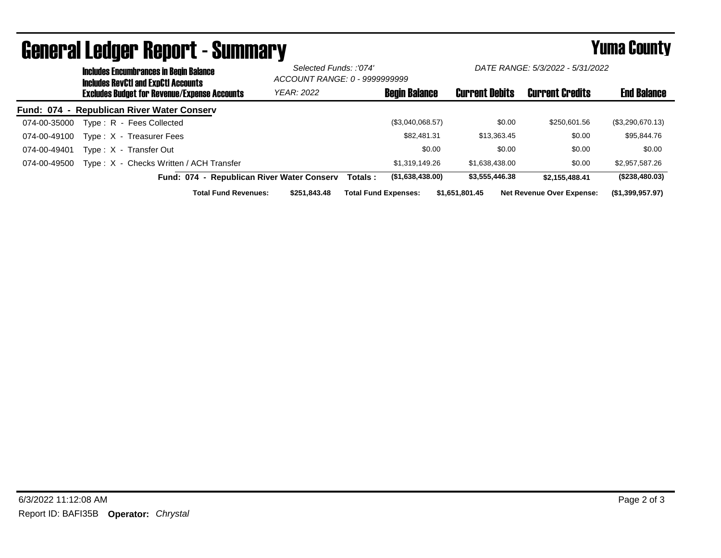|              | <b>Includes Encumbrances in Begin Balance</b><br><b>Includes RevCtI and ExpCtI Accounts</b> |                                                     | Selected Funds: :'074'<br>ACCOUNT RANGE: 0 - 9999999999 |          | DATE RANGE: 5/3/2022 - 5/31/2022 |                       |                                  |                    |
|--------------|---------------------------------------------------------------------------------------------|-----------------------------------------------------|---------------------------------------------------------|----------|----------------------------------|-----------------------|----------------------------------|--------------------|
|              |                                                                                             | <b>Excludes Budget for Revenue/Expense Accounts</b> | <b>YEAR: 2022</b>                                       |          | <b>Begin Balance</b>             | <b>Current Debits</b> | <b>Current Credits</b>           | <b>End Balance</b> |
|              |                                                                                             | Fund: 074 - Republican River Water Conserv          |                                                         |          |                                  |                       |                                  |                    |
| 074-00-35000 |                                                                                             | Type: R - Fees Collected                            |                                                         |          | (\$3,040,068.57)                 | \$0.00                | \$250,601.56                     | (\$3,290,670.13)   |
| 074-00-49100 |                                                                                             | Type: X - Treasurer Fees                            |                                                         |          | \$82,481,31                      | \$13.363.45           | \$0.00                           | \$95,844.76        |
| 074-00-49401 |                                                                                             | Type: X - Transfer Out                              |                                                         |          | \$0.00                           | \$0.00                | \$0.00                           | \$0.00             |
| 074-00-49500 |                                                                                             | Type: X - Checks Written / ACH Transfer             |                                                         |          | \$1,319,149.26                   | \$1,638,438.00        | \$0.00                           | \$2,957,587.26     |
|              |                                                                                             | Fund: 074 - Republican River Water Conserv          |                                                         | Totals : | (\$1,638,438.00)                 | \$3,555,446.38        | \$2.155.488.41                   | (\$238,480.03)     |
|              |                                                                                             | <b>Total Fund Revenues:</b>                         | \$251.843.48                                            |          | <b>Total Fund Expenses:</b>      | \$1,651,801.45        | <b>Net Revenue Over Expense:</b> | (1,399,957.97)     |

## General Ledger Report - Summary **Example 2018** Yuma County